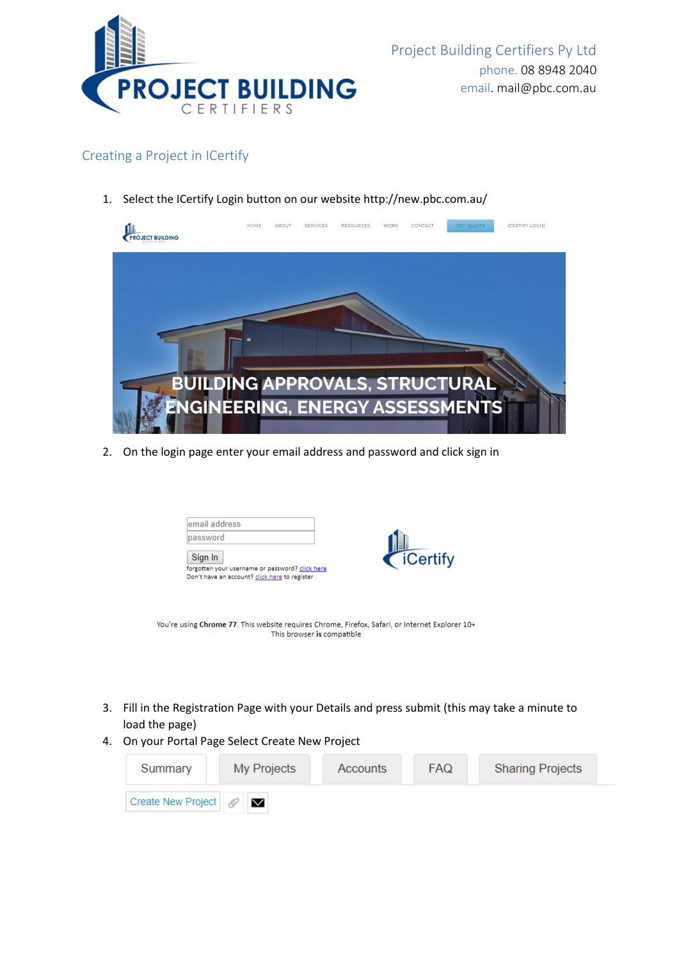

## Creating a Project in ICertify

1. Select the ICertify Login button on our website http://new.pbc.com.au/



2. On the login page enter your email address and password and click sign in

| password |                                                 |                 |
|----------|-------------------------------------------------|-----------------|
| Sign In  |                                                 | <b>iCertify</b> |
|          | forgotten your username or password? click here |                 |

- You're using Chrome 77. This website requires Chrome, Firefox, Safari, or Internet Explorer 10+ This browser is compatible
- 3. Fill in the Registration Page with your Details and press submit (this may take a minute to load the page)
- 4. On your Portal Page Select Create New Project

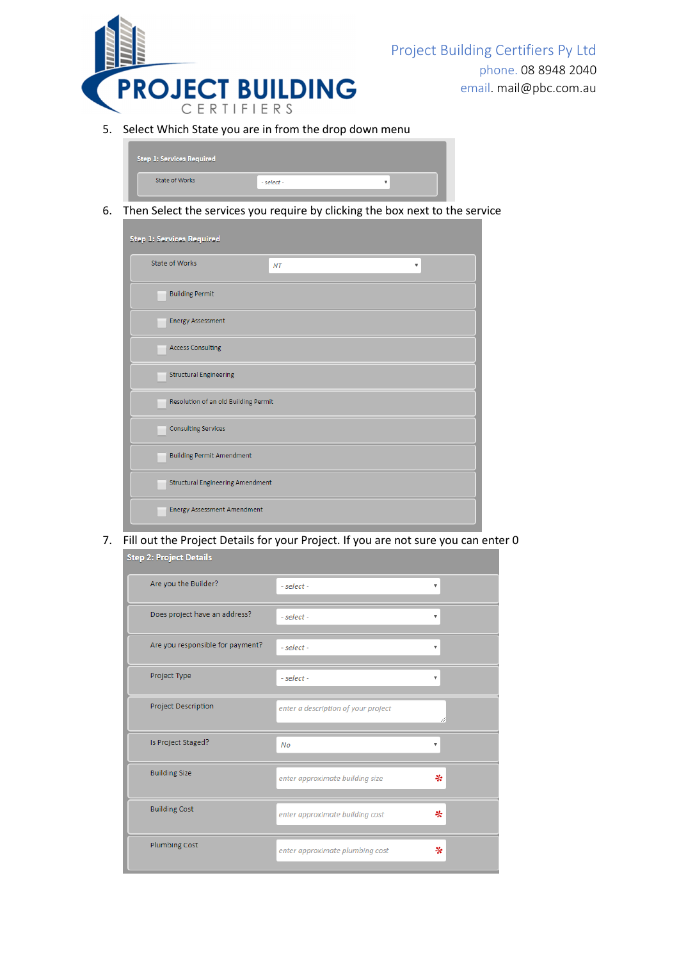

Project Building Certifiers Py Ltd phone. 08 8948 2040 email. mail@pbc.com.au

5. Select Which State you are in from the drop down menu

| <b>Step 1: Services Required</b> |  |
|----------------------------------|--|
| State of Works<br>$-select -$    |  |

6. Then Select the services you require by clicking the box next to the service

| <b>Step 1: Services Required</b>        |                              |  |  |  |
|-----------------------------------------|------------------------------|--|--|--|
| <b>State of Works</b>                   | NT<br>$\overline{\mathbf v}$ |  |  |  |
| <b>Building Permit</b>                  |                              |  |  |  |
| <b>Energy Assessment</b>                |                              |  |  |  |
| <b>Access Consulting</b>                |                              |  |  |  |
| <b>Structural Engineering</b>           |                              |  |  |  |
| Resolution of an old Building Permit    |                              |  |  |  |
| <b>Consulting Services</b>              |                              |  |  |  |
| <b>Building Permit Amendment</b>        |                              |  |  |  |
| <b>Structural Engineering Amendment</b> |                              |  |  |  |
| <b>Energy Assessment Amendment</b>      |                              |  |  |  |

7. Fill out the Project Details for your Project. If you are not sure you can enter 0Step 2: Project Details

| Are you the Builder?             | $-select -$                         | v                         |
|----------------------------------|-------------------------------------|---------------------------|
| Does project have an address?    | - select -                          |                           |
| Are you responsible for payment? | $-select -$                         | $\boldsymbol{\mathrm{v}}$ |
| Project Type                     | - select -                          | v                         |
| Project Description              | enter a description of your project |                           |
| Is Project Staged?               | No                                  | v                         |
| <b>Building Size</b>             | enter approximate building size     | ₩                         |
| <b>Building Cost</b>             | enter approximate building cost     | ₩                         |
| <b>Plumbing Cost</b>             | enter approximate plumbing cost     | ₩                         |